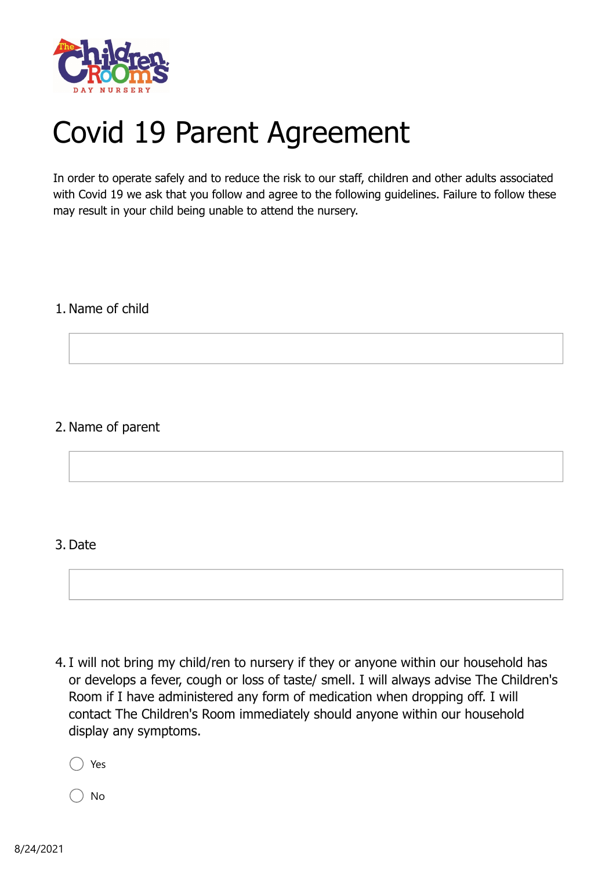

## Covid 19 Parent Agreement

In order to operate safely and to reduce the risk to our staff, children and other adults associated with Covid 19 we ask that you follow and agree to the following guidelines. Failure to follow these may result in your child being unable to attend the nursery.

## 1. Name of child

## 2. Name of parent

## 3. Date

4. I will not bring my child/ren to nursery if they or anyone within our household has or develops a fever, cough or loss of taste/ smell. I will always advise The Children's Room if I have administered any form of medication when dropping off. I will contact The Children's Room immediately should anyone within our household display any symptoms.

Yes

No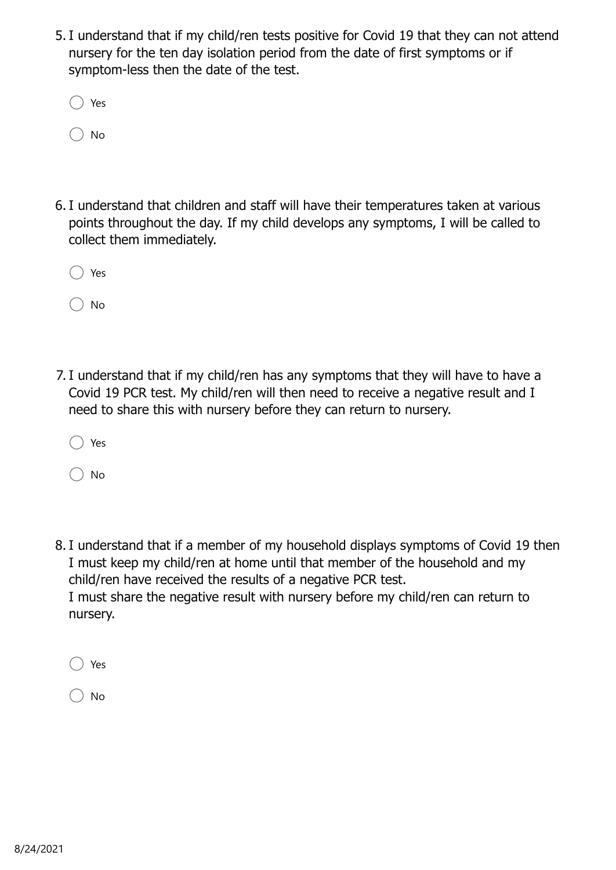5. I understand that if my child/ren tests positive for Covid 19 that they can not attend nursery for the ten day isolation period from the date of first symptoms or if symptom-less then the date of the test.

| Yes |
|-----|
| No  |

6. I understand that children and staff will have their temperatures taken at various points throughout the day. If my child develops any symptoms, I will be called to collect them immediately.

| Yes |
|-----|
|     |

No

7. I understand that if my child/ren has any symptoms that they will have to have a Covid 19 PCR test. My child/ren will then need to receive a negative result and I need to share this with nursery before they can return to nursery.

|  | ۰, |
|--|----|
|--|----|

No

8. I understand that if a member of my household displays symptoms of Covid 19 then I must keep my child/ren at home until that member of the household and my child/ren have received the results of a negative PCR test. I must share the negative result with nursery before my child/ren can return to nursery.

Yes

No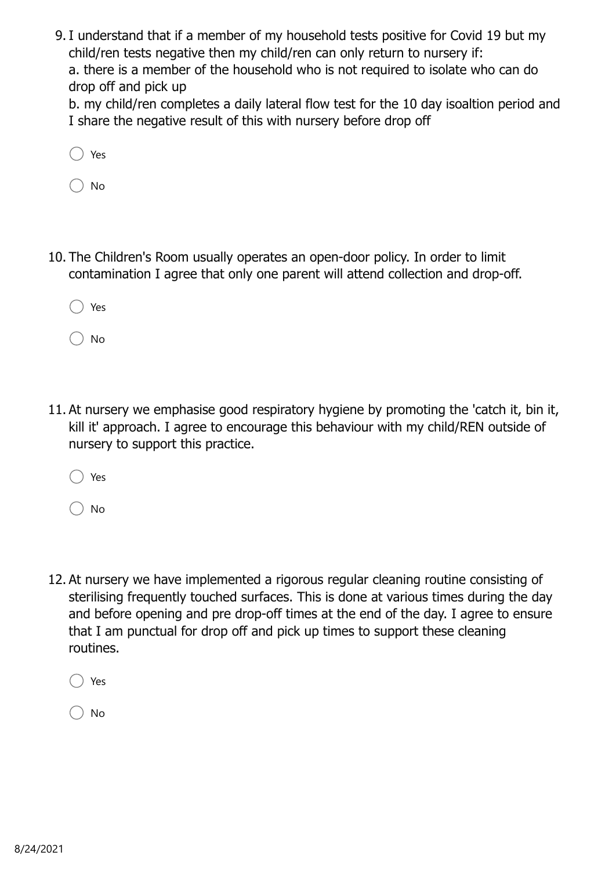9. I understand that if a member of my household tests positive for Covid 19 but my child/ren tests negative then my child/ren can only return to nursery if: a. there is a member of the household who is not required to isolate who can do drop off and pick up

b. my child/ren completes a daily lateral flow test for the 10 day isoaltion period and I share the negative result of this with nursery before drop off

No

10. The Children's Room usually operates an open-door policy. In order to limit contamination I agree that only one parent will attend collection and drop-off.

Yes

No

11. At nursery we emphasise good respiratory hygiene by promoting the 'catch it, bin it, kill it' approach. I agree to encourage this behaviour with my child/REN outside of nursery to support this practice.

Yes

No

12. At nursery we have implemented a rigorous regular cleaning routine consisting of sterilising frequently touched surfaces. This is done at various times during the day and before opening and pre drop-off times at the end of the day. I agree to ensure that I am punctual for drop off and pick up times to support these cleaning routines.

Yes

No